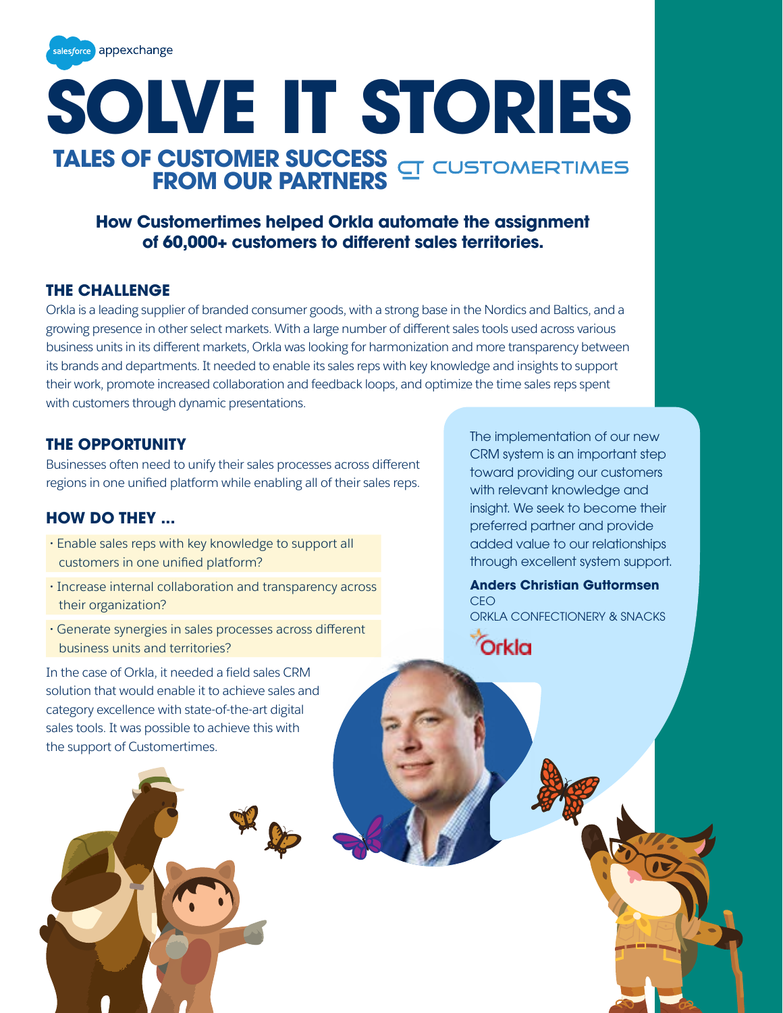

# **SOLVE IT STORIES TALES OF CUSTOMER SUCCESS FROM OUR PARTNERS**

## **How Customertimes helped Orkla automate the assignment of 60,000+ customers to different sales territories.**

### **THE CHALLENGE**

Orkla is a leading supplier of branded consumer goods, with a strong base in the Nordics and Baltics, and a growing presence in other select markets. With a large number of different sales tools used across various business units in its different markets, Orkla was looking for harmonization and more transparency between its brands and departments. It needed to enable its sales reps with key knowledge and insights to support their work, promote increased collaboration and feedback loops, and optimize the time sales reps spent with customers through dynamic presentations.

### **THE OPPORTUNITY**

Businesses often need to unify their sales processes across different regions in one unified platform while enabling all of their sales reps.

## **HOW DO THEY ...**

- **·** Enable sales reps with key knowledge to support all customers in one unified platform?
- **·** Increase internal collaboration and transparency across their organization?
- **·** Generate synergies in sales processes across different business units and territories?

In the case of Orkla, it needed a field sales CRM solution that would enable it to achieve sales and category excellence with state-of-the-art digital sales tools. It was possible to achieve this with the support of Customertimes.



The implementation of our new CRM system is an important step toward providing our customers with relevant knowledge and insight. We seek to become their preferred partner and provide added value to our relationships through excellent system support.

**Anders Christian Guttormsen**  CEO ORKLA CONFECTIONERY & SNACKS

Orkla